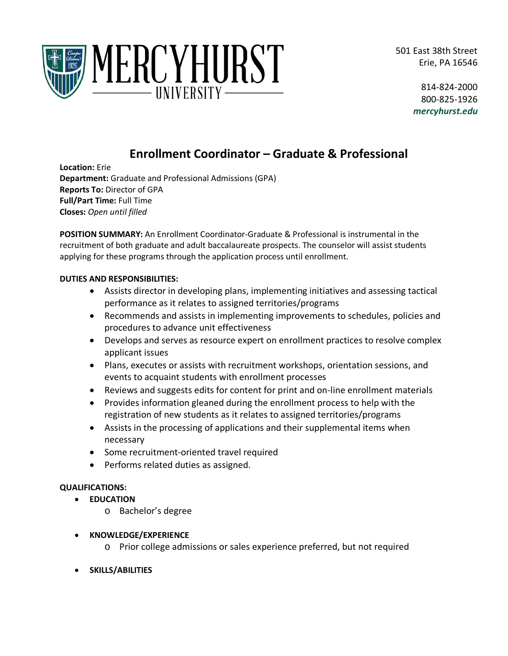501 East 38th Street Erie, PA 16546



814-824-2000 800-825-1926 *mercyhurst.edu*

# **Enrollment Coordinator – Graduate & Professional**

**Location:** Erie **Department:** Graduate and Professional Admissions (GPA) **Reports To:** Director of GPA **Full/Part Time:** Full Time **Closes:** *Open until filled*

**POSITION SUMMARY:** An Enrollment Coordinator-Graduate & Professional is instrumental in the recruitment of both graduate and adult baccalaureate prospects. The counselor will assist students applying for these programs through the application process until enrollment.

## **DUTIES AND RESPONSIBILITIES:**

- Assists director in developing plans, implementing initiatives and assessing tactical performance as it relates to assigned territories/programs
- Recommends and assists in implementing improvements to schedules, policies and procedures to advance unit effectiveness
- Develops and serves as resource expert on enrollment practices to resolve complex applicant issues
- Plans, executes or assists with recruitment workshops, orientation sessions, and events to acquaint students with enrollment processes
- Reviews and suggests edits for content for print and on-line enrollment materials
- Provides information gleaned during the enrollment process to help with the registration of new students as it relates to assigned territories/programs
- Assists in the processing of applications and their supplemental items when necessary
- Some recruitment-oriented travel required
- Performs related duties as assigned.

## **QUALIFICATIONS:**

- **EDUCATION**
	- o Bachelor's degree
- **KNOWLEDGE/EXPERIENCE**
	- o Prior college admissions or sales experience preferred, but not required
- **SKILLS/ABILITIES**